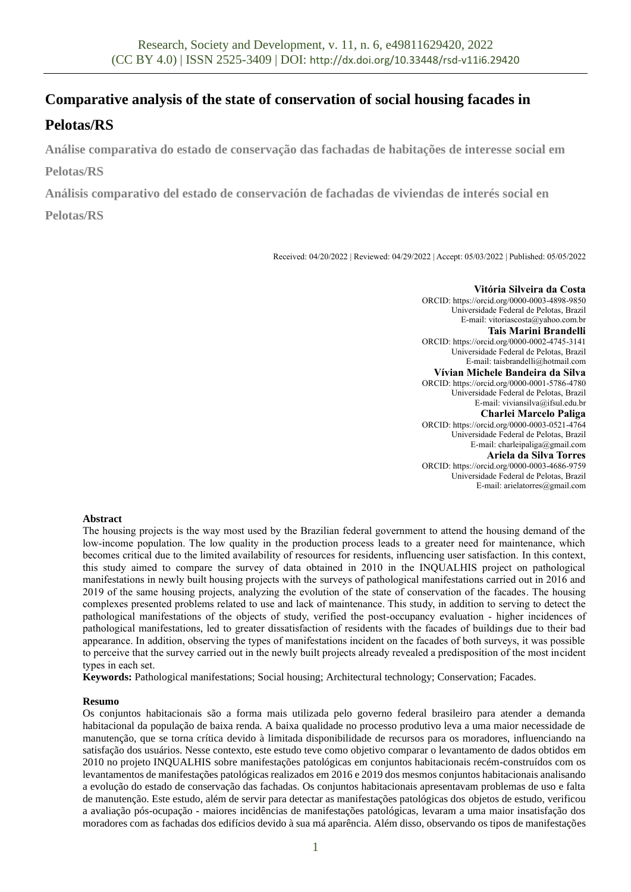# **Comparative analysis of the state of conservation of social housing facades in**

# **Pelotas/RS**

**Análise comparativa do estado de conservação das fachadas de habitações de interesse social em Pelotas/RS**

**Análisis comparativo del estado de conservación de fachadas de viviendas de interés social en** 

# **Pelotas/RS**

Received: 04/20/2022 | Reviewed: 04/29/2022 | Accept: 05/03/2022 | Published: 05/05/2022

**Vitória Silveira da Costa** ORCID: https://orcid.org/0000-0003-4898-9850 Universidade Federal de Pelotas, Brazil E-mail: vitoriascosta@yahoo.com.br **Tais Marini Brandelli** ORCID: https://orcid.org/0000-0002-4745-3141 Universidade Federal de Pelotas, Brazil E-mail: taisbrandelli@hotmail.com **Vívian Michele Bandeira da Silva** ORCID: https://orcid.org/0000-0001-5786-4780 Universidade Federal de Pelotas, Brazil E-mail: viviansilva@ifsul.edu.br **Charlei Marcelo Paliga** ORCID: https://orcid.org/0000-0003-0521-4764 Universidade Federal de Pelotas, Brazil E-mail: charleipaliga@gmail.com **Ariela da Silva Torres** ORCID: https://orcid.org/0000-0003-4686-9759 Universidade Federal de Pelotas, Brazil E-mail: arielatorres@gmail.com

## **Abstract**

The housing projects is the way most used by the Brazilian federal government to attend the housing demand of the low-income population. The low quality in the production process leads to a greater need for maintenance, which becomes critical due to the limited availability of resources for residents, influencing user satisfaction. In this context, this study aimed to compare the survey of data obtained in 2010 in the INQUALHIS project on pathological manifestations in newly built housing projects with the surveys of pathological manifestations carried out in 2016 and 2019 of the same housing projects, analyzing the evolution of the state of conservation of the facades. The housing complexes presented problems related to use and lack of maintenance. This study, in addition to serving to detect the pathological manifestations of the objects of study, verified the post-occupancy evaluation - higher incidences of pathological manifestations, led to greater dissatisfaction of residents with the facades of buildings due to their bad appearance. In addition, observing the types of manifestations incident on the facades of both surveys, it was possible to perceive that the survey carried out in the newly built projects already revealed a predisposition of the most incident types in each set.

**Keywords:** Pathological manifestations; Social housing; Architectural technology; Conservation; Facades.

## **Resumo**

Os conjuntos habitacionais são a forma mais utilizada pelo governo federal brasileiro para atender a demanda habitacional da população de baixa renda. A baixa qualidade no processo produtivo leva a uma maior necessidade de manutenção, que se torna crítica devido à limitada disponibilidade de recursos para os moradores, influenciando na satisfação dos usuários. Nesse contexto, este estudo teve como objetivo comparar o levantamento de dados obtidos em 2010 no projeto INQUALHIS sobre manifestações patológicas em conjuntos habitacionais recém-construídos com os levantamentos de manifestações patológicas realizados em 2016 e 2019 dos mesmos conjuntos habitacionais analisando a evolução do estado de conservação das fachadas. Os conjuntos habitacionais apresentavam problemas de uso e falta de manutenção. Este estudo, além de servir para detectar as manifestações patológicas dos objetos de estudo, verificou a avaliação pós-ocupação - maiores incidências de manifestações patológicas, levaram a uma maior insatisfação dos moradores com as fachadas dos edifícios devido à sua má aparência. Além disso, observando os tipos de manifestações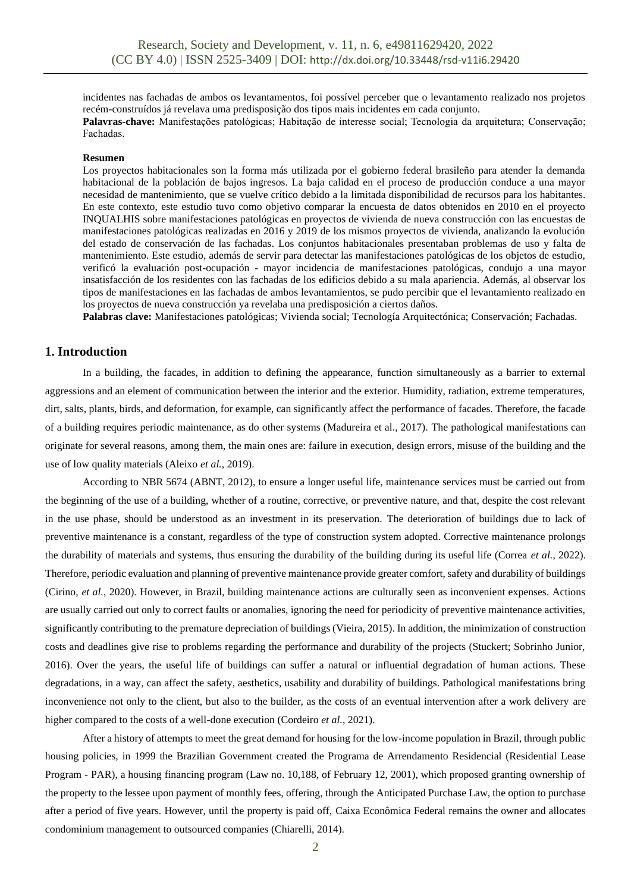incidentes nas fachadas de ambos os levantamentos, foi possível perceber que o levantamento realizado nos projetos recém-construídos já revelava uma predisposição dos tipos mais incidentes em cada conjunto. **Palavras-chave:** Manifestações patológicas; Habitação de interesse social; Tecnologia da arquitetura; Conservação; Fachadas.

#### **Resumen**

Los proyectos habitacionales son la forma más utilizada por el gobierno federal brasileño para atender la demanda habitacional de la población de bajos ingresos. La baja calidad en el proceso de producción conduce a una mayor necesidad de mantenimiento, que se vuelve crítico debido a la limitada disponibilidad de recursos para los habitantes. En este contexto, este estudio tuvo como objetivo comparar la encuesta de datos obtenidos en 2010 en el proyecto INQUALHIS sobre manifestaciones patológicas en proyectos de vivienda de nueva construcción con las encuestas de manifestaciones patológicas realizadas en 2016 y 2019 de los mismos proyectos de vivienda, analizando la evolución del estado de conservación de las fachadas. Los conjuntos habitacionales presentaban problemas de uso y falta de mantenimiento. Este estudio, además de servir para detectar las manifestaciones patológicas de los objetos de estudio, verificó la evaluación post-ocupación - mayor incidencia de manifestaciones patológicas, condujo a una mayor insatisfacción de los residentes con las fachadas de los edificios debido a su mala apariencia. Además, al observar los tipos de manifestaciones en las fachadas de ambos levantamientos, se pudo percibir que el levantamiento realizado en los proyectos de nueva construcción ya revelaba una predisposición a ciertos daños.

**Palabras clave:** Manifestaciones patológicas; Vivienda social; Tecnología Arquitectónica; Conservación; Fachadas.

### **1. Introduction**

In a building, the facades, in addition to defining the appearance, function simultaneously as a barrier to external aggressions and an element of communication between the interior and the exterior. Humidity, radiation, extreme temperatures, dirt, salts, plants, birds, and deformation, for example, can significantly affect the performance of facades. Therefore, the facade of a building requires periodic maintenance, as do other systems (Madureira et al., 2017). The pathological manifestations can originate for several reasons, among them, the main ones are: failure in execution, design errors, misuse of the building and the use of low quality materials (Aleixo *et al.*, 2019).

According to NBR 5674 (ABNT, 2012), to ensure a longer useful life, maintenance services must be carried out from the beginning of the use of a building, whether of a routine, corrective, or preventive nature, and that, despite the cost relevant in the use phase, should be understood as an investment in its preservation. The deterioration of buildings due to lack of preventive maintenance is a constant, regardless of the type of construction system adopted. Corrective maintenance prolongs the durability of materials and systems, thus ensuring the durability of the building during its useful life (Correa *et al.*, 2022). Therefore, periodic evaluation and planning of preventive maintenance provide greater comfort, safety and durability of buildings (Cirino, *et al.*, 2020). However, in Brazil, building maintenance actions are culturally seen as inconvenient expenses. Actions are usually carried out only to correct faults or anomalies, ignoring the need for periodicity of preventive maintenance activities, significantly contributing to the premature depreciation of buildings (Vieira, 2015). In addition, the minimization of construction costs and deadlines give rise to problems regarding the performance and durability of the projects (Stuckert; Sobrinho Junior, 2016). Over the years, the useful life of buildings can suffer a natural or influential degradation of human actions. These degradations, in a way, can affect the safety, aesthetics, usability and durability of buildings. Pathological manifestations bring inconvenience not only to the client, but also to the builder, as the costs of an eventual intervention after a work delivery are higher compared to the costs of a well-done execution (Cordeiro *et al.*, 2021).

After a history of attempts to meet the great demand for housing for the low-income population in Brazil, through public housing policies, in 1999 the Brazilian Government created the Programa de Arrendamento Residencial (Residential Lease Program - PAR), a housing financing program (Law no. 10,188, of February 12, 2001), which proposed granting ownership of the property to the lessee upon payment of monthly fees, offering, through the Anticipated Purchase Law, the option to purchase after a period of five years. However, until the property is paid off, Caixa Econômica Federal remains the owner and allocates condominium management to outsourced companies (Chiarelli, 2014).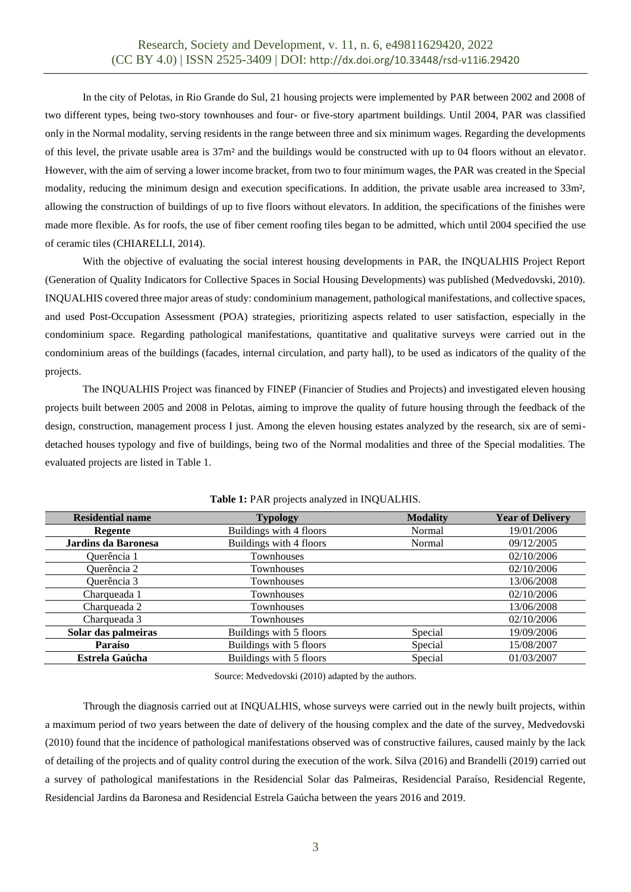In the city of Pelotas, in Rio Grande do Sul, 21 housing projects were implemented by PAR between 2002 and 2008 of two different types, being two-story townhouses and four- or five-story apartment buildings. Until 2004, PAR was classified only in the Normal modality, serving residents in the range between three and six minimum wages. Regarding the developments of this level, the private usable area is 37m² and the buildings would be constructed with up to 04 floors without an elevator. However, with the aim of serving a lower income bracket, from two to four minimum wages, the PAR was created in the Special modality, reducing the minimum design and execution specifications. In addition, the private usable area increased to 33m², allowing the construction of buildings of up to five floors without elevators. In addition, the specifications of the finishes were made more flexible. As for roofs, the use of fiber cement roofing tiles began to be admitted, which until 2004 specified the use of ceramic tiles (CHIARELLI, 2014).

With the objective of evaluating the social interest housing developments in PAR, the INQUALHIS Project Report (Generation of Quality Indicators for Collective Spaces in Social Housing Developments) was published (Medvedovski, 2010). INQUALHIS covered three major areas of study: condominium management, pathological manifestations, and collective spaces, and used Post-Occupation Assessment (POA) strategies, prioritizing aspects related to user satisfaction, especially in the condominium space. Regarding pathological manifestations, quantitative and qualitative surveys were carried out in the condominium areas of the buildings (facades, internal circulation, and party hall), to be used as indicators of the quality of the projects.

The INQUALHIS Project was financed by FINEP (Financier of Studies and Projects) and investigated eleven housing projects built between 2005 and 2008 in Pelotas, aiming to improve the quality of future housing through the feedback of the design, construction, management process I just. Among the eleven housing estates analyzed by the research, six are of semidetached houses typology and five of buildings, being two of the Normal modalities and three of the Special modalities. The evaluated projects are listed in Table 1.

| <b>Residential name</b> | <b>Typology</b>         | <b>Modality</b> | <b>Year of Delivery</b> |
|-------------------------|-------------------------|-----------------|-------------------------|
| Regente                 | Buildings with 4 floors | Normal          | 19/01/2006              |
| Jardins da Baronesa     | Buildings with 4 floors | Normal          | 09/12/2005              |
| Querência 1             | Townhouses              |                 | 02/10/2006              |
| Querência 2             | Townhouses              |                 | 02/10/2006              |
| Querência 3             | Townhouses              |                 | 13/06/2008              |
| Charqueada 1            | Townhouses              |                 | 02/10/2006              |
| Charqueada 2            | Townhouses              |                 | 13/06/2008              |
| Charqueada 3            | Townhouses              |                 | 02/10/2006              |
| Solar das palmeiras     | Buildings with 5 floors | Special         | 19/09/2006              |
| Paraíso                 | Buildings with 5 floors | Special         | 15/08/2007              |
| <b>Estrela Gaúcha</b>   | Buildings with 5 floors | Special         | 01/03/2007              |

**Table 1:** PAR projects analyzed in INQUALHIS.

Source: Medvedovski (2010) adapted by the authors.

Through the diagnosis carried out at INQUALHIS, whose surveys were carried out in the newly built projects, within a maximum period of two years between the date of delivery of the housing complex and the date of the survey, Medvedovski (2010) found that the incidence of pathological manifestations observed was of constructive failures, caused mainly by the lack of detailing of the projects and of quality control during the execution of the work. Silva (2016) and Brandelli (2019) carried out a survey of pathological manifestations in the Residencial Solar das Palmeiras, Residencial Paraíso, Residencial Regente, Residencial Jardins da Baronesa and Residencial Estrela Gaúcha between the years 2016 and 2019.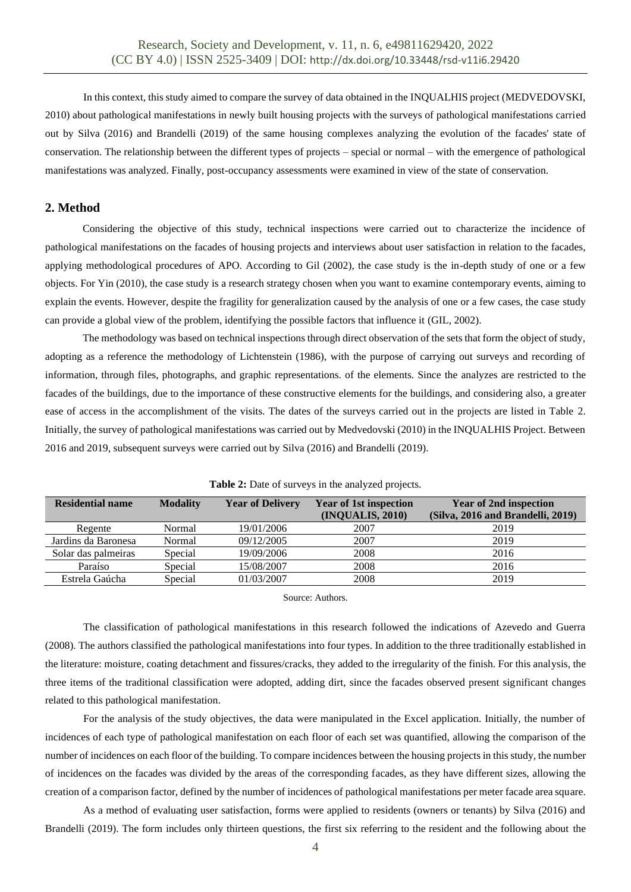In this context, this study aimed to compare the survey of data obtained in the INQUALHIS project (MEDVEDOVSKI, 2010) about pathological manifestations in newly built housing projects with the surveys of pathological manifestations carried out by Silva (2016) and Brandelli (2019) of the same housing complexes analyzing the evolution of the facades' state of conservation. The relationship between the different types of projects – special or normal – with the emergence of pathological manifestations was analyzed. Finally, post-occupancy assessments were examined in view of the state of conservation.

## **2. Method**

Considering the objective of this study, technical inspections were carried out to characterize the incidence of pathological manifestations on the facades of housing projects and interviews about user satisfaction in relation to the facades, applying methodological procedures of APO. According to Gil (2002), the case study is the in-depth study of one or a few objects. For Yin (2010), the case study is a research strategy chosen when you want to examine contemporary events, aiming to explain the events. However, despite the fragility for generalization caused by the analysis of one or a few cases, the case study can provide a global view of the problem, identifying the possible factors that influence it (GIL, 2002).

The methodology was based on technical inspections through direct observation of the sets that form the object of study, adopting as a reference the methodology of Lichtenstein (1986), with the purpose of carrying out surveys and recording of information, through files, photographs, and graphic representations. of the elements. Since the analyzes are restricted to the facades of the buildings, due to the importance of these constructive elements for the buildings, and considering also, a greater ease of access in the accomplishment of the visits. The dates of the surveys carried out in the projects are listed in Table 2. Initially, the survey of pathological manifestations was carried out by Medvedovski (2010) in the INQUALHIS Project. Between 2016 and 2019, subsequent surveys were carried out by Silva (2016) and Brandelli (2019).

| <b>Residential name</b> | <b>Modality</b> | <b>Year of Delivery</b> | <b>Year of 1st inspection</b><br>(INQUALIS, 2010) | <b>Year of 2nd inspection</b><br>(Silva, 2016 and Brandelli, 2019) |
|-------------------------|-----------------|-------------------------|---------------------------------------------------|--------------------------------------------------------------------|
| Regente                 | Normal          | 19/01/2006              | 2007                                              | 2019                                                               |
| Jardins da Baronesa     | Normal          | 09/12/2005              | 2007                                              | 2019                                                               |
| Solar das palmeiras     | Special         | 19/09/2006              | 2008                                              | 2016                                                               |
| Paraíso                 | Special         | 15/08/2007              | 2008                                              | 2016                                                               |
| Estrela Gaúcha          | Special         | 01/03/2007              | 2008                                              | 2019                                                               |

**Table 2:** Date of surveys in the analyzed projects.

Source: Authors.

The classification of pathological manifestations in this research followed the indications of Azevedo and Guerra (2008). The authors classified the pathological manifestations into four types. In addition to the three traditionally established in the literature: moisture, coating detachment and fissures/cracks, they added to the irregularity of the finish. For this analysis, the three items of the traditional classification were adopted, adding dirt, since the facades observed present significant changes related to this pathological manifestation.

For the analysis of the study objectives, the data were manipulated in the Excel application. Initially, the number of incidences of each type of pathological manifestation on each floor of each set was quantified, allowing the comparison of the number of incidences on each floor of the building. To compare incidences between the housing projects in this study, the number of incidences on the facades was divided by the areas of the corresponding facades, as they have different sizes, allowing the creation of a comparison factor, defined by the number of incidences of pathological manifestations per meter facade area square.

As a method of evaluating user satisfaction, forms were applied to residents (owners or tenants) by Silva (2016) and Brandelli (2019). The form includes only thirteen questions, the first six referring to the resident and the following about the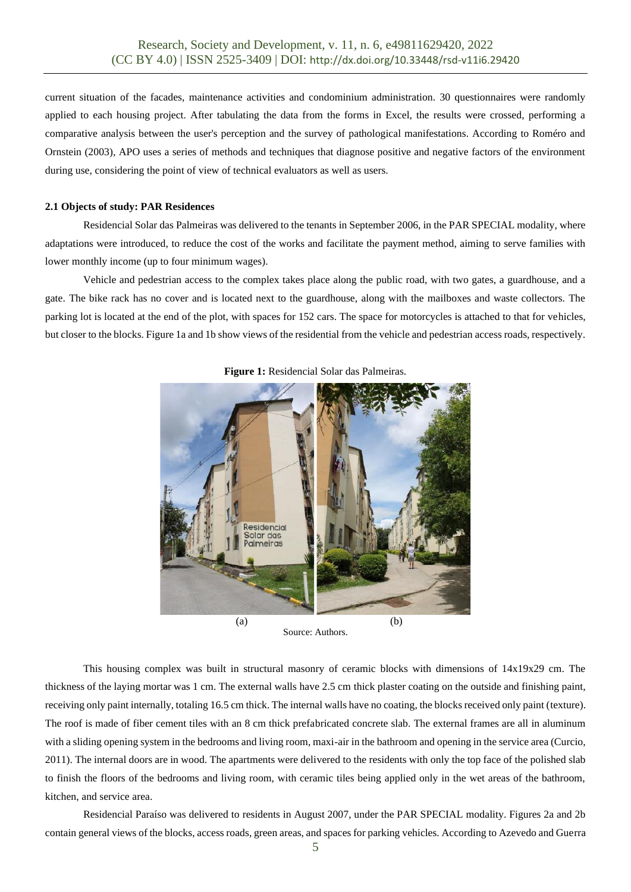current situation of the facades, maintenance activities and condominium administration. 30 questionnaires were randomly applied to each housing project. After tabulating the data from the forms in Excel, the results were crossed, performing a comparative analysis between the user's perception and the survey of pathological manifestations. According to Roméro and Ornstein (2003), APO uses a series of methods and techniques that diagnose positive and negative factors of the environment during use, considering the point of view of technical evaluators as well as users.

#### **2.1 Objects of study: PAR Residences**

Residencial Solar das Palmeiras was delivered to the tenants in September 2006, in the PAR SPECIAL modality, where adaptations were introduced, to reduce the cost of the works and facilitate the payment method, aiming to serve families with lower monthly income (up to four minimum wages).

Vehicle and pedestrian access to the complex takes place along the public road, with two gates, a guardhouse, and a gate. The bike rack has no cover and is located next to the guardhouse, along with the mailboxes and waste collectors. The parking lot is located at the end of the plot, with spaces for 152 cars. The space for motorcycles is attached to that for vehicles, but closer to the blocks. Figure 1a and 1b show views of the residential from the vehicle and pedestrian access roads, respectively.



**Figure 1:** Residencial Solar das Palmeiras.

Source: Authors.

This housing complex was built in structural masonry of ceramic blocks with dimensions of 14x19x29 cm. The thickness of the laying mortar was 1 cm. The external walls have 2.5 cm thick plaster coating on the outside and finishing paint, receiving only paint internally, totaling 16.5 cm thick. The internal walls have no coating, the blocks received only paint (texture). The roof is made of fiber cement tiles with an 8 cm thick prefabricated concrete slab. The external frames are all in aluminum with a sliding opening system in the bedrooms and living room, maxi-air in the bathroom and opening in the service area (Curcio, 2011). The internal doors are in wood. The apartments were delivered to the residents with only the top face of the polished slab to finish the floors of the bedrooms and living room, with ceramic tiles being applied only in the wet areas of the bathroom, kitchen, and service area.

Residencial Paraíso was delivered to residents in August 2007, under the PAR SPECIAL modality. Figures 2a and 2b contain general views of the blocks, access roads, green areas, and spaces for parking vehicles. According to Azevedo and Guerra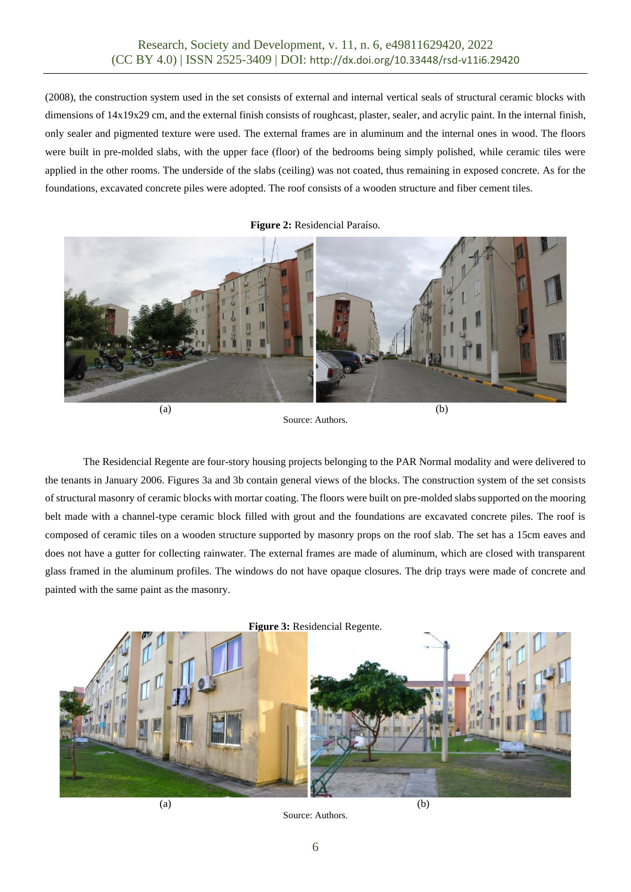(2008), the construction system used in the set consists of external and internal vertical seals of structural ceramic blocks with dimensions of  $14x19x29$  cm, and the external finish consists of roughcast, plaster, sealer, and acrylic paint. In the internal finish, only sealer and pigmented texture were used. The external frames are in aluminum and the internal ones in wood. The floors were built in pre-molded slabs, with the upper face (floor) of the bedrooms being simply polished, while ceramic tiles were applied in the other rooms. The underside of the slabs (ceiling) was not coated, thus remaining in exposed concrete. As for the foundations, excavated concrete piles were adopted. The roof consists of a wooden structure and fiber cement tiles.

**Figure 2:** Residencial Paraíso.



Source: Authors.

The Residencial Regente are four-story housing projects belonging to the PAR Normal modality and were delivered to the tenants in January 2006. Figures 3a and 3b contain general views of the blocks. The construction system of the set consists of structural masonry of ceramic blocks with mortar coating. The floors were built on pre-molded slabs supported on the mooring belt made with a channel-type ceramic block filled with grout and the foundations are excavated concrete piles. The roof is composed of ceramic tiles on a wooden structure supported by masonry props on the roof slab. The set has a 15cm eaves and does not have a gutter for collecting rainwater. The external frames are made of aluminum, which are closed with transparent glass framed in the aluminum profiles. The windows do not have opaque closures. The drip trays were made of concrete and painted with the same paint as the masonry.



Source: Authors.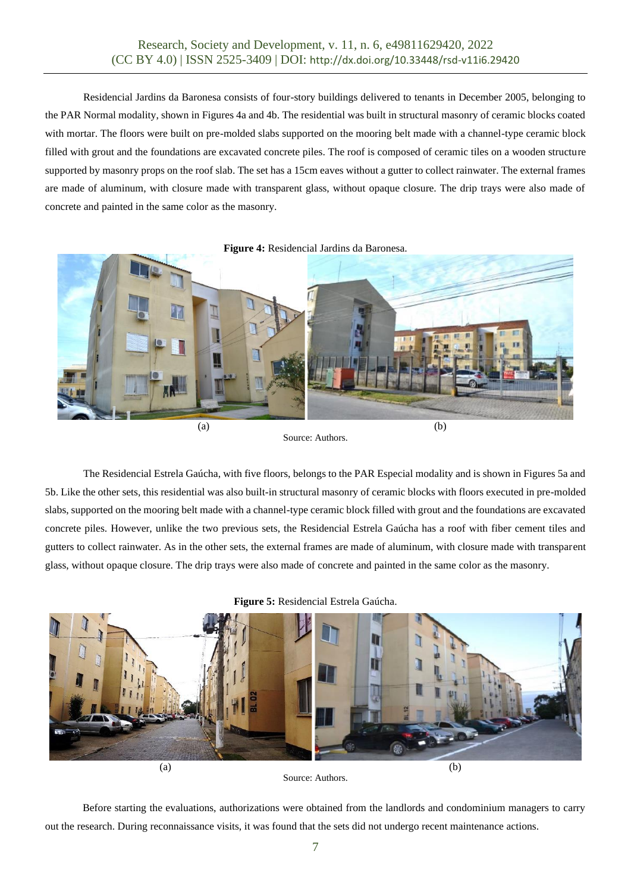Residencial Jardins da Baronesa consists of four-story buildings delivered to tenants in December 2005, belonging to the PAR Normal modality, shown in Figures 4a and 4b. The residential was built in structural masonry of ceramic blocks coated with mortar. The floors were built on pre-molded slabs supported on the mooring belt made with a channel-type ceramic block filled with grout and the foundations are excavated concrete piles. The roof is composed of ceramic tiles on a wooden structure supported by masonry props on the roof slab. The set has a 15cm eaves without a gutter to collect rainwater. The external frames are made of aluminum, with closure made with transparent glass, without opaque closure. The drip trays were also made of concrete and painted in the same color as the masonry.



Source: Authors.

The Residencial Estrela Gaúcha, with five floors, belongs to the PAR Especial modality and is shown in Figures 5a and 5b. Like the other sets, this residential was also built-in structural masonry of ceramic blocks with floors executed in pre-molded slabs, supported on the mooring belt made with a channel-type ceramic block filled with grout and the foundations are excavated concrete piles. However, unlike the two previous sets, the Residencial Estrela Gaúcha has a roof with fiber cement tiles and gutters to collect rainwater. As in the other sets, the external frames are made of aluminum, with closure made with transparent glass, without opaque closure. The drip trays were also made of concrete and painted in the same color as the masonry.

**Figure 5:** Residencial Estrela Gaúcha.





Before starting the evaluations, authorizations were obtained from the landlords and condominium managers to carry out the research. During reconnaissance visits, it was found that the sets did not undergo recent maintenance actions.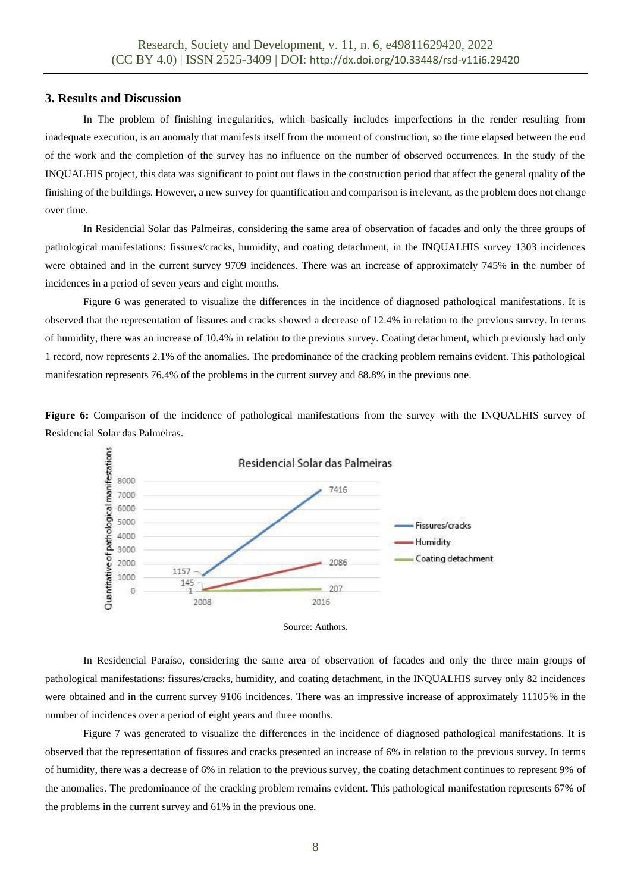#### **3. Results and Discussion**

In The problem of finishing irregularities, which basically includes imperfections in the render resulting from inadequate execution, is an anomaly that manifests itself from the moment of construction, so the time elapsed between the end of the work and the completion of the survey has no influence on the number of observed occurrences. In the study of the INQUALHIS project, this data was significant to point out flaws in the construction period that affect the general quality of the finishing of the buildings. However, a new survey for quantification and comparison is irrelevant, as the problem does not change over time.

In Residencial Solar das Palmeiras, considering the same area of observation of facades and only the three groups of pathological manifestations: fissures/cracks, humidity, and coating detachment, in the INQUALHIS survey 1303 incidences were obtained and in the current survey 9709 incidences. There was an increase of approximately 745% in the number of incidences in a period of seven years and eight months.

Figure 6 was generated to visualize the differences in the incidence of diagnosed pathological manifestations. It is observed that the representation of fissures and cracks showed a decrease of 12.4% in relation to the previous survey. In terms of humidity, there was an increase of 10.4% in relation to the previous survey. Coating detachment, which previously had only 1 record, now represents 2.1% of the anomalies. The predominance of the cracking problem remains evident. This pathological manifestation represents 76.4% of the problems in the current survey and 88.8% in the previous one.

**Figure 6:** Comparison of the incidence of pathological manifestations from the survey with the INQUALHIS survey of Residencial Solar das Palmeiras.





In Residencial Paraíso, considering the same area of observation of facades and only the three main groups of pathological manifestations: fissures/cracks, humidity, and coating detachment, in the INQUALHIS survey only 82 incidences were obtained and in the current survey 9106 incidences. There was an impressive increase of approximately 11105% in the number of incidences over a period of eight years and three months.

Figure 7 was generated to visualize the differences in the incidence of diagnosed pathological manifestations. It is observed that the representation of fissures and cracks presented an increase of 6% in relation to the previous survey. In terms of humidity, there was a decrease of 6% in relation to the previous survey, the coating detachment continues to represent 9% of the anomalies. The predominance of the cracking problem remains evident. This pathological manifestation represents 67% of the problems in the current survey and 61% in the previous one.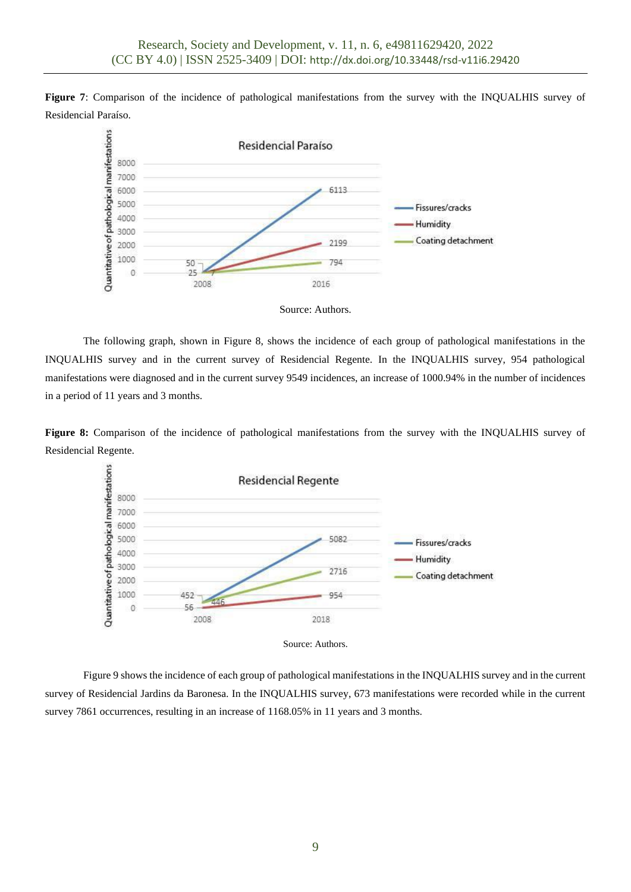**Figure 7**: Comparison of the incidence of pathological manifestations from the survey with the INQUALHIS survey of Residencial Paraíso.



Source: Authors.

The following graph, shown in Figure 8, shows the incidence of each group of pathological manifestations in the INQUALHIS survey and in the current survey of Residencial Regente. In the INQUALHIS survey, 954 pathological manifestations were diagnosed and in the current survey 9549 incidences, an increase of 1000.94% in the number of incidences in a period of 11 years and 3 months.

**Figure 8:** Comparison of the incidence of pathological manifestations from the survey with the INQUALHIS survey of Residencial Regente.



Source: Authors.

Figure 9 shows the incidence of each group of pathological manifestations in the INQUALHIS survey and in the current survey of Residencial Jardins da Baronesa. In the INQUALHIS survey, 673 manifestations were recorded while in the current survey 7861 occurrences, resulting in an increase of 1168.05% in 11 years and 3 months.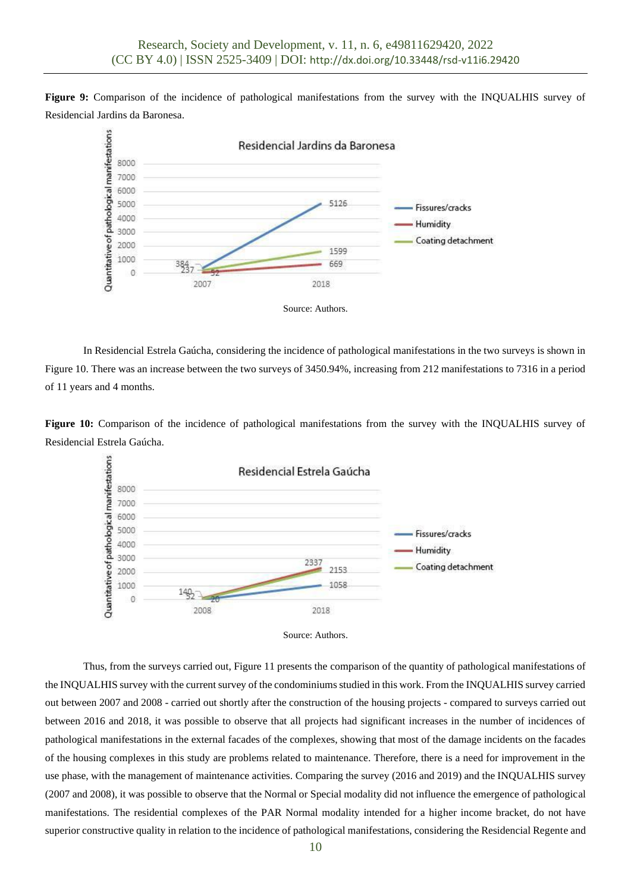**Figure 9:** Comparison of the incidence of pathological manifestations from the survey with the INQUALHIS survey of Residencial Jardins da Baronesa.



In Residencial Estrela Gaúcha, considering the incidence of pathological manifestations in the two surveys is shown in Figure 10. There was an increase between the two surveys of 3450.94%, increasing from 212 manifestations to 7316 in a period of 11 years and 4 months.

**Figure 10:** Comparison of the incidence of pathological manifestations from the survey with the INQUALHIS survey of Residencial Estrela Gaúcha.





Thus, from the surveys carried out, Figure 11 presents the comparison of the quantity of pathological manifestations of the INQUALHIS survey with the current survey of the condominiums studied in this work. From the INQUALHIS survey carried out between 2007 and 2008 - carried out shortly after the construction of the housing projects - compared to surveys carried out between 2016 and 2018, it was possible to observe that all projects had significant increases in the number of incidences of pathological manifestations in the external facades of the complexes, showing that most of the damage incidents on the facades of the housing complexes in this study are problems related to maintenance. Therefore, there is a need for improvement in the use phase, with the management of maintenance activities. Comparing the survey (2016 and 2019) and the INQUALHIS survey (2007 and 2008), it was possible to observe that the Normal or Special modality did not influence the emergence of pathological manifestations. The residential complexes of the PAR Normal modality intended for a higher income bracket, do not have superior constructive quality in relation to the incidence of pathological manifestations, considering the Residencial Regente and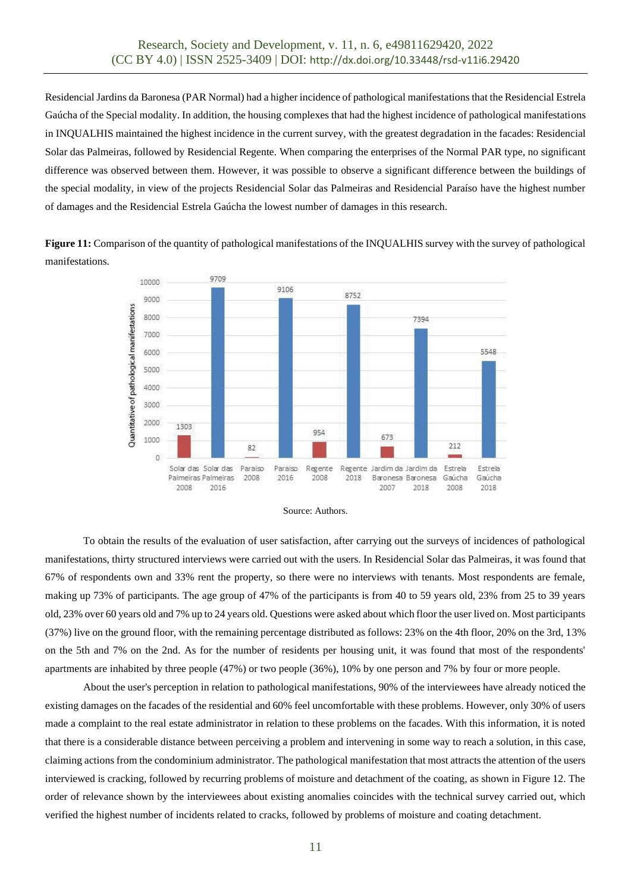Residencial Jardins da Baronesa (PAR Normal) had a higher incidence of pathological manifestations that the Residencial Estrela Gaúcha of the Special modality. In addition, the housing complexes that had the highest incidence of pathological manifestations in INQUALHIS maintained the highest incidence in the current survey, with the greatest degradation in the facades: Residencial Solar das Palmeiras, followed by Residencial Regente. When comparing the enterprises of the Normal PAR type, no significant difference was observed between them. However, it was possible to observe a significant difference between the buildings of the special modality, in view of the projects Residencial Solar das Palmeiras and Residencial Paraíso have the highest number of damages and the Residencial Estrela Gaúcha the lowest number of damages in this research.

**Figure 11:** Comparison of the quantity of pathological manifestations of the INQUALHIS survey with the survey of pathological manifestations.





To obtain the results of the evaluation of user satisfaction, after carrying out the surveys of incidences of pathological manifestations, thirty structured interviews were carried out with the users. In Residencial Solar das Palmeiras, it was found that 67% of respondents own and 33% rent the property, so there were no interviews with tenants. Most respondents are female, making up 73% of participants. The age group of 47% of the participants is from 40 to 59 years old, 23% from 25 to 39 years old, 23% over 60 years old and 7% up to 24 years old. Questions were asked about which floor the user lived on. Most participants (37%) live on the ground floor, with the remaining percentage distributed as follows: 23% on the 4th floor, 20% on the 3rd, 13% on the 5th and 7% on the 2nd. As for the number of residents per housing unit, it was found that most of the respondents' apartments are inhabited by three people (47%) or two people (36%), 10% by one person and 7% by four or more people.

About the user's perception in relation to pathological manifestations, 90% of the interviewees have already noticed the existing damages on the facades of the residential and 60% feel uncomfortable with these problems. However, only 30% of users made a complaint to the real estate administrator in relation to these problems on the facades. With this information, it is noted that there is a considerable distance between perceiving a problem and intervening in some way to reach a solution, in this case, claiming actions from the condominium administrator. The pathological manifestation that most attracts the attention of the users interviewed is cracking, followed by recurring problems of moisture and detachment of the coating, as shown in Figure 12. The order of relevance shown by the interviewees about existing anomalies coincides with the technical survey carried out, which verified the highest number of incidents related to cracks, followed by problems of moisture and coating detachment.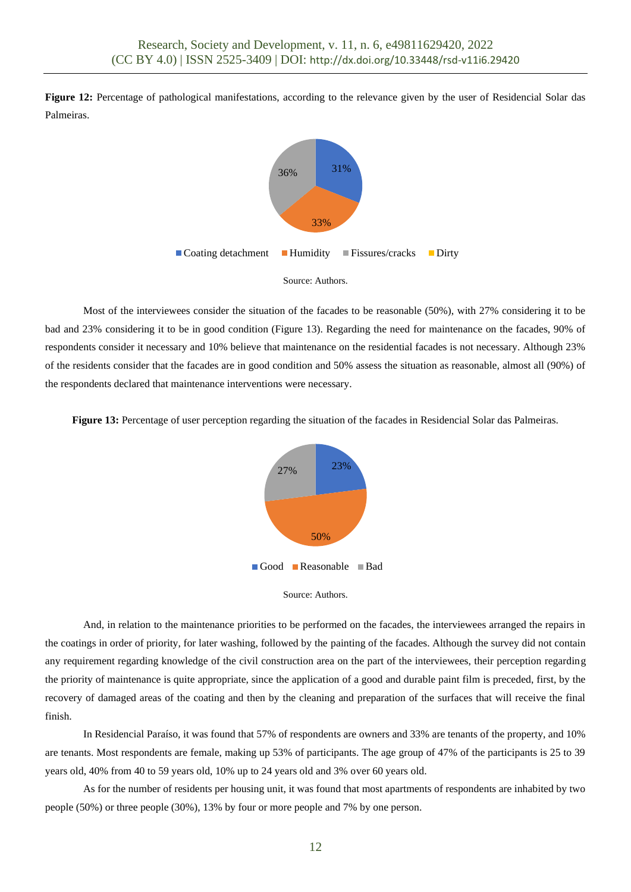**Figure 12:** Percentage of pathological manifestations, according to the relevance given by the user of Residencial Solar das Palmeiras.



Most of the interviewees consider the situation of the facades to be reasonable (50%), with 27% considering it to be bad and 23% considering it to be in good condition (Figure 13). Regarding the need for maintenance on the facades, 90% of respondents consider it necessary and 10% believe that maintenance on the residential facades is not necessary. Although 23% of the residents consider that the facades are in good condition and 50% assess the situation as reasonable, almost all (90%) of the respondents declared that maintenance interventions were necessary.

**Figure 13:** Percentage of user perception regarding the situation of the facades in Residencial Solar das Palmeiras.





And, in relation to the maintenance priorities to be performed on the facades, the interviewees arranged the repairs in the coatings in order of priority, for later washing, followed by the painting of the facades. Although the survey did not contain any requirement regarding knowledge of the civil construction area on the part of the interviewees, their perception regarding the priority of maintenance is quite appropriate, since the application of a good and durable paint film is preceded, first, by the recovery of damaged areas of the coating and then by the cleaning and preparation of the surfaces that will receive the final finish.

In Residencial Paraíso, it was found that 57% of respondents are owners and 33% are tenants of the property, and 10% are tenants. Most respondents are female, making up 53% of participants. The age group of 47% of the participants is 25 to 39 years old, 40% from 40 to 59 years old, 10% up to 24 years old and 3% over 60 years old.

As for the number of residents per housing unit, it was found that most apartments of respondents are inhabited by two people (50%) or three people (30%), 13% by four or more people and 7% by one person.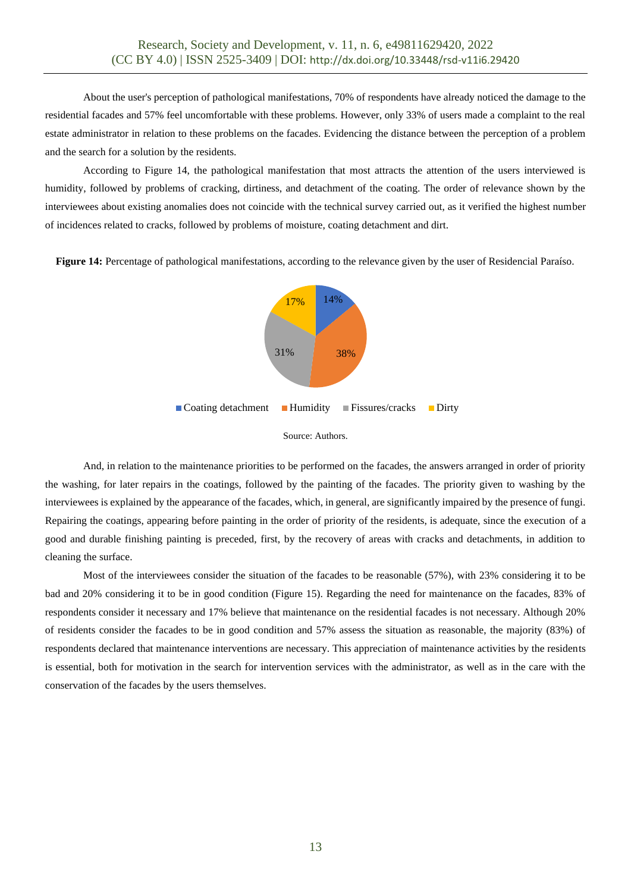About the user's perception of pathological manifestations, 70% of respondents have already noticed the damage to the residential facades and 57% feel uncomfortable with these problems. However, only 33% of users made a complaint to the real estate administrator in relation to these problems on the facades. Evidencing the distance between the perception of a problem and the search for a solution by the residents.

According to Figure 14, the pathological manifestation that most attracts the attention of the users interviewed is humidity, followed by problems of cracking, dirtiness, and detachment of the coating. The order of relevance shown by the interviewees about existing anomalies does not coincide with the technical survey carried out, as it verified the highest number of incidences related to cracks, followed by problems of moisture, coating detachment and dirt.

**Figure 14:** Percentage of pathological manifestations, according to the relevance given by the user of Residencial Paraíso.





And, in relation to the maintenance priorities to be performed on the facades, the answers arranged in order of priority the washing, for later repairs in the coatings, followed by the painting of the facades. The priority given to washing by the interviewees is explained by the appearance of the facades, which, in general, are significantly impaired by the presence of fungi. Repairing the coatings, appearing before painting in the order of priority of the residents, is adequate, since the execution of a good and durable finishing painting is preceded, first, by the recovery of areas with cracks and detachments, in addition to cleaning the surface.

Most of the interviewees consider the situation of the facades to be reasonable (57%), with 23% considering it to be bad and 20% considering it to be in good condition (Figure 15). Regarding the need for maintenance on the facades, 83% of respondents consider it necessary and 17% believe that maintenance on the residential facades is not necessary. Although 20% of residents consider the facades to be in good condition and 57% assess the situation as reasonable, the majority (83%) of respondents declared that maintenance interventions are necessary. This appreciation of maintenance activities by the residents is essential, both for motivation in the search for intervention services with the administrator, as well as in the care with the conservation of the facades by the users themselves.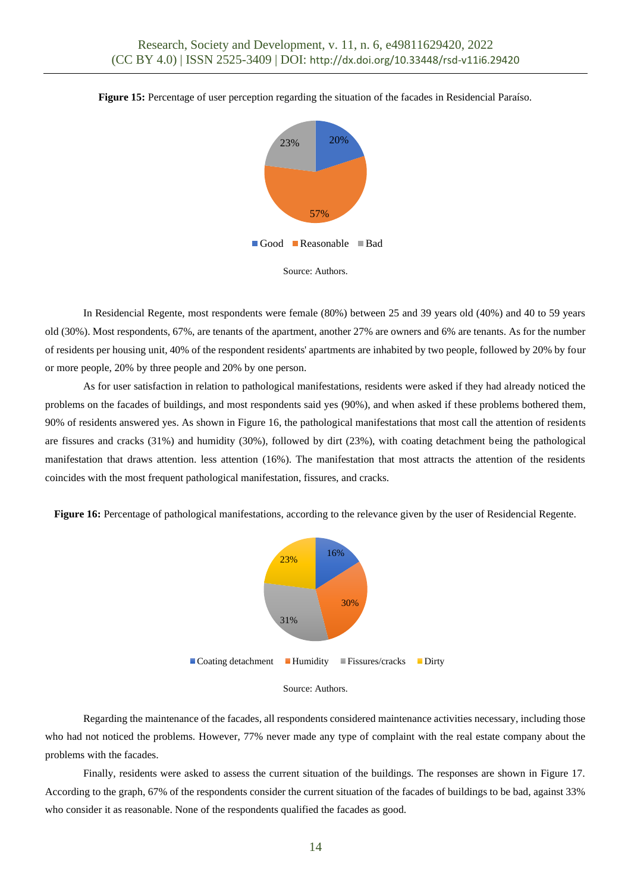





In Residencial Regente, most respondents were female (80%) between 25 and 39 years old (40%) and 40 to 59 years old (30%). Most respondents, 67%, are tenants of the apartment, another 27% are owners and 6% are tenants. As for the number of residents per housing unit, 40% of the respondent residents' apartments are inhabited by two people, followed by 20% by four or more people, 20% by three people and 20% by one person.

As for user satisfaction in relation to pathological manifestations, residents were asked if they had already noticed the problems on the facades of buildings, and most respondents said yes (90%), and when asked if these problems bothered them, 90% of residents answered yes. As shown in Figure 16, the pathological manifestations that most call the attention of residents are fissures and cracks (31%) and humidity (30%), followed by dirt (23%), with coating detachment being the pathological manifestation that draws attention. less attention (16%). The manifestation that most attracts the attention of the residents coincides with the most frequent pathological manifestation, fissures, and cracks.

**Figure 16:** Percentage of pathological manifestations, according to the relevance given by the user of Residencial Regente.





Regarding the maintenance of the facades, all respondents considered maintenance activities necessary, including those who had not noticed the problems. However, 77% never made any type of complaint with the real estate company about the problems with the facades.

Finally, residents were asked to assess the current situation of the buildings. The responses are shown in Figure 17. According to the graph, 67% of the respondents consider the current situation of the facades of buildings to be bad, against 33% who consider it as reasonable. None of the respondents qualified the facades as good.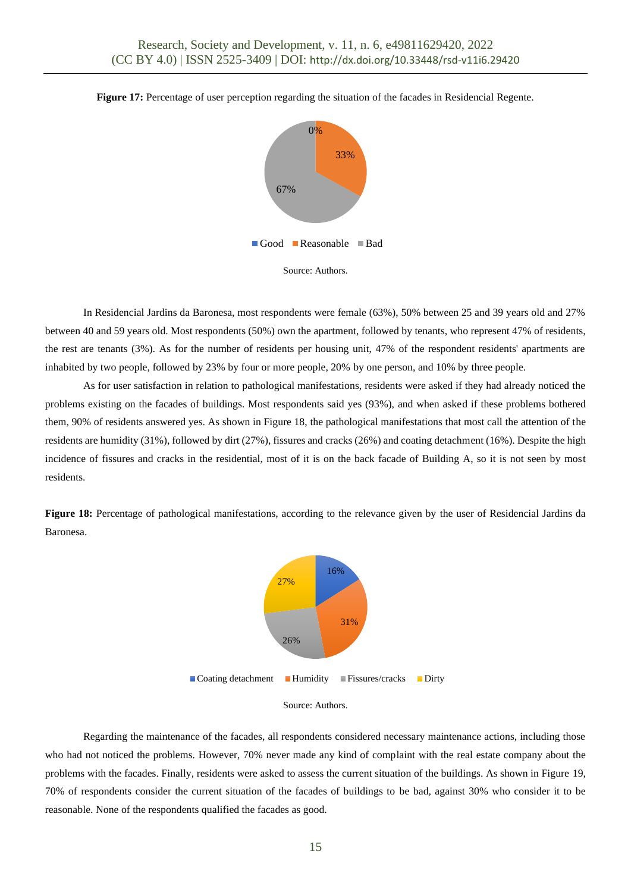

**Figure 17:** Percentage of user perception regarding the situation of the facades in Residencial Regente.



In Residencial Jardins da Baronesa, most respondents were female (63%), 50% between 25 and 39 years old and 27% between 40 and 59 years old. Most respondents (50%) own the apartment, followed by tenants, who represent 47% of residents, the rest are tenants (3%). As for the number of residents per housing unit, 47% of the respondent residents' apartments are inhabited by two people, followed by 23% by four or more people, 20% by one person, and 10% by three people.

As for user satisfaction in relation to pathological manifestations, residents were asked if they had already noticed the problems existing on the facades of buildings. Most respondents said yes (93%), and when asked if these problems bothered them, 90% of residents answered yes. As shown in Figure 18, the pathological manifestations that most call the attention of the residents are humidity (31%), followed by dirt (27%), fissures and cracks (26%) and coating detachment (16%). Despite the high incidence of fissures and cracks in the residential, most of it is on the back facade of Building A, so it is not seen by most residents.

**Figure 18:** Percentage of pathological manifestations, according to the relevance given by the user of Residencial Jardins da Baronesa.





Regarding the maintenance of the facades, all respondents considered necessary maintenance actions, including those who had not noticed the problems. However, 70% never made any kind of complaint with the real estate company about the problems with the facades. Finally, residents were asked to assess the current situation of the buildings. As shown in Figure 19, 70% of respondents consider the current situation of the facades of buildings to be bad, against 30% who consider it to be reasonable. None of the respondents qualified the facades as good.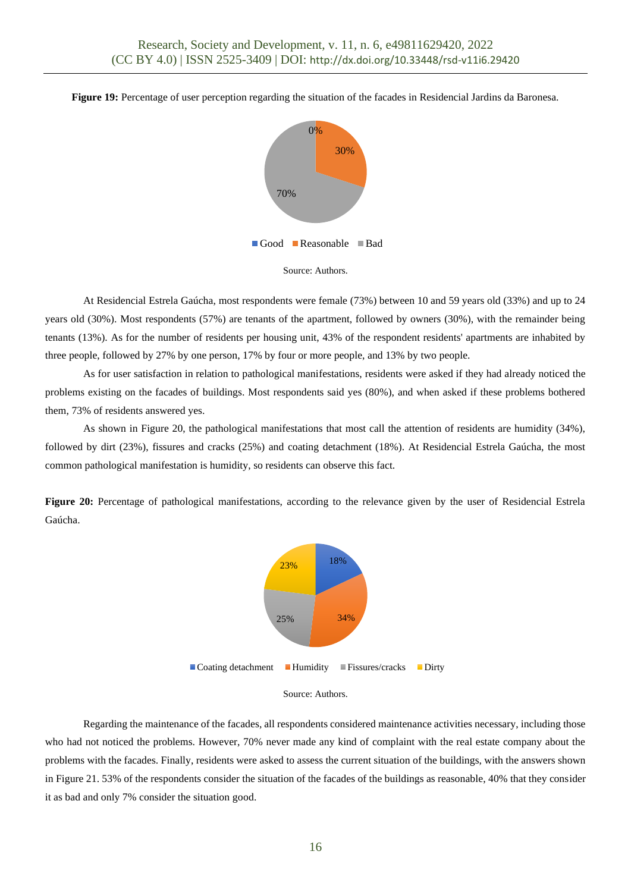**Figure 19:** Percentage of user perception regarding the situation of the facades in Residencial Jardins da Baronesa.





At Residencial Estrela Gaúcha, most respondents were female (73%) between 10 and 59 years old (33%) and up to 24 years old (30%). Most respondents (57%) are tenants of the apartment, followed by owners (30%), with the remainder being tenants (13%). As for the number of residents per housing unit, 43% of the respondent residents' apartments are inhabited by three people, followed by 27% by one person, 17% by four or more people, and 13% by two people.

As for user satisfaction in relation to pathological manifestations, residents were asked if they had already noticed the problems existing on the facades of buildings. Most respondents said yes (80%), and when asked if these problems bothered them, 73% of residents answered yes.

As shown in Figure 20, the pathological manifestations that most call the attention of residents are humidity (34%), followed by dirt (23%), fissures and cracks (25%) and coating detachment (18%). At Residencial Estrela Gaúcha, the most common pathological manifestation is humidity, so residents can observe this fact.

**Figure 20:** Percentage of pathological manifestations, according to the relevance given by the user of Residencial Estrela Gaúcha.





Regarding the maintenance of the facades, all respondents considered maintenance activities necessary, including those who had not noticed the problems. However, 70% never made any kind of complaint with the real estate company about the problems with the facades. Finally, residents were asked to assess the current situation of the buildings, with the answers shown in Figure 21. 53% of the respondents consider the situation of the facades of the buildings as reasonable, 40% that they consider it as bad and only 7% consider the situation good.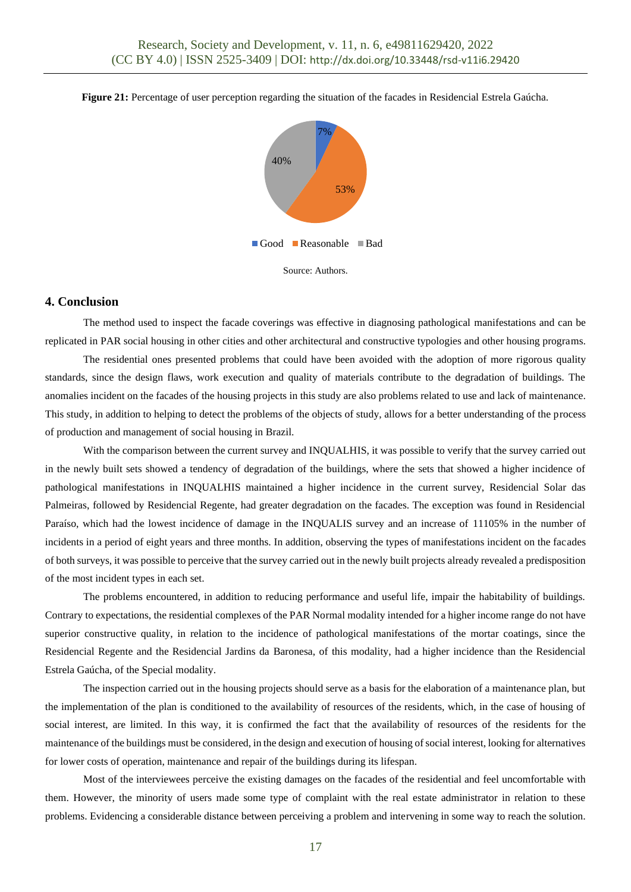



Source: Authors.

### **4. Conclusion**

The method used to inspect the facade coverings was effective in diagnosing pathological manifestations and can be replicated in PAR social housing in other cities and other architectural and constructive typologies and other housing programs.

The residential ones presented problems that could have been avoided with the adoption of more rigorous quality standards, since the design flaws, work execution and quality of materials contribute to the degradation of buildings. The anomalies incident on the facades of the housing projects in this study are also problems related to use and lack of maintenance. This study, in addition to helping to detect the problems of the objects of study, allows for a better understanding of the process of production and management of social housing in Brazil.

With the comparison between the current survey and INQUALHIS, it was possible to verify that the survey carried out in the newly built sets showed a tendency of degradation of the buildings, where the sets that showed a higher incidence of pathological manifestations in INQUALHIS maintained a higher incidence in the current survey, Residencial Solar das Palmeiras, followed by Residencial Regente, had greater degradation on the facades. The exception was found in Residencial Paraíso, which had the lowest incidence of damage in the INQUALIS survey and an increase of 11105% in the number of incidents in a period of eight years and three months. In addition, observing the types of manifestations incident on the facades of both surveys, it was possible to perceive that the survey carried out in the newly built projects already revealed a predisposition of the most incident types in each set.

The problems encountered, in addition to reducing performance and useful life, impair the habitability of buildings. Contrary to expectations, the residential complexes of the PAR Normal modality intended for a higher income range do not have superior constructive quality, in relation to the incidence of pathological manifestations of the mortar coatings, since the Residencial Regente and the Residencial Jardins da Baronesa, of this modality, had a higher incidence than the Residencial Estrela Gaúcha, of the Special modality.

The inspection carried out in the housing projects should serve as a basis for the elaboration of a maintenance plan, but the implementation of the plan is conditioned to the availability of resources of the residents, which, in the case of housing of social interest, are limited. In this way, it is confirmed the fact that the availability of resources of the residents for the maintenance of the buildings must be considered, in the design and execution of housing of social interest, looking for alternatives for lower costs of operation, maintenance and repair of the buildings during its lifespan.

Most of the interviewees perceive the existing damages on the facades of the residential and feel uncomfortable with them. However, the minority of users made some type of complaint with the real estate administrator in relation to these problems. Evidencing a considerable distance between perceiving a problem and intervening in some way to reach the solution.